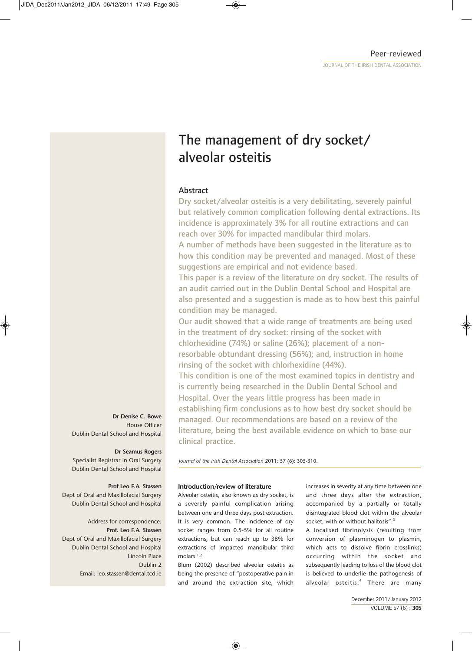# The management of dry socket/ alveolar osteitis

## Abstract

Dry socket/alveolar osteitis is a very debilitating, severely painful but relatively common complication following dental extractions. Its incidence is approximately 3% for all routine extractions and can reach over 30% for impacted mandibular third molars.

A number of methods have been suggested in the literature as to how this condition may be prevented and managed. Most of these suggestions are empirical and not evidence based.

This paper is a review of the literature on dry socket. The results of an audit carried out in the Dublin Dental School and Hospital are also presented and a suggestion is made as to how best this painful condition may be managed.

Our audit showed that a wide range of treatments are being used in the treatment of dry socket: rinsing of the socket with chlorhexidine (74%) or saline (26%); placement of a nonresorbable obtundant dressing (56%); and, instruction in home rinsing of the socket with chlorhexidine (44%).

This condition is one of the most examined topics in dentistry and is currently being researched in the Dublin Dental School and Hospital. Over the years little progress has been made in establishing firm conclusions as to how best dry socket should be managed. Our recommendations are based on a review of the literature, being the best available evidence on which to base our clinical practice.

*Journal of the Irish Dental Association* 2011*;* 57 (6): 305-310.

## **Introduction/review of literature**

Alveolar osteitis, also known as dry socket, is a severely painful complication arising between one and three days post extraction. It is very common. The incidence of dry socket ranges from 0.5-5% for all routine extractions, but can reach up to 38% for extractions of impacted mandibular third molars.<sup>1,2</sup>

Blum (2002) described alveolar osteitis as being the presence of "postoperative pain in and around the extraction site, which increases in severity at any time between one and three days after the extraction, accompanied by a partially or totally disintegrated blood clot within the alveolar socket, with or without halitosis".<sup>3</sup>

A localised fibrinolysis (resulting from conversion of plasminogen to plasmin, which acts to dissolve fibrin crosslinks) occurring within the socket and subsequently leading to loss of the blood clot is believed to underlie the pathogenesis of alveolar osteitis.<sup>4</sup> There are many

**Dr Denise C. Bowe** House Officer Dublin Dental School and Hospital

## **Dr Seamus Rogers**

Specialist Registrar in Oral Surgery Dublin Dental School and Hospital

## **Prof Leo F.A. Stassen**

Dept of Oral and Maxillofacial Surgery Dublin Dental School and Hospital

Address for correspondence: **Prof. Leo F.A. Stassen** Dept of Oral and Maxillofacial Surgery Dublin Dental School and Hospital Lincoln Place Dublin 2 Email: leo.stassen@dental.tcd.ie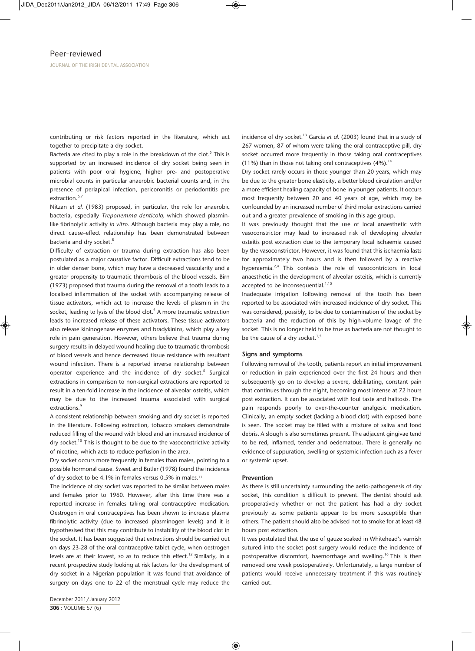contributing or risk factors reported in the literature, which act together to precipitate a dry socket.

Bacteria are cited to play a role in the breakdown of the clot.<sup>5</sup> This is supported by an increased incidence of dry socket being seen in patients with poor oral hygiene, higher pre- and postoperative microbial counts in particular anaerobic bacterial counts and, in the presence of periapical infection, pericoronitis or periodontitis pre extraction.<sup>6,7</sup>

Nitzan *et al.* (1983) proposed, in particular, the role for anaerobic bacteria, especially *Treponemma denticola,* which showed plasminlike fibrinolytic activity *in vitro*. Although bacteria may play a role, no direct cause–effect relationship has been demonstrated between bacteria and dry socket.<sup>8</sup>

Difficulty of extraction or trauma during extraction has also been postulated as a major causative factor. Difficult extractions tend to be in older denser bone, which may have a decreased vascularity and a greater propensity to traumatic thrombosis of the blood vessels. Birn (1973) proposed that trauma during the removal of a tooth leads to a localised inflammation of the socket with accompanying release of tissue activators, which act to increase the levels of plasmin in the socket, leading to lysis of the blood clot.<sup>4</sup> A more traumatic extraction leads to increased release of these activators. These tissue activators also release kininogenase enzymes and bradykinins, which play a key role in pain generation. However, others believe that trauma during surgery results in delayed wound healing due to traumatic thrombosis of blood vessels and hence decreased tissue resistance with resultant wound infection. There is a reported inverse relationship between operator experience and the incidence of dry socket.<sup>5</sup> Surgical extractions in comparison to non-surgical extractions are reported to result in a ten-fold increase in the incidence of alveolar osteitis, which may be due to the increased trauma associated with surgical extractions.<sup>9</sup>

A consistent relationship between smoking and dry socket is reported in the literature. Following extraction, tobacco smokers demonstrate reduced filling of the wound with blood and an increased incidence of dry socket.<sup>10</sup> This is thought to be due to the vasoconstrictive activity of nicotine, which acts to reduce perfusion in the area.

Dry socket occurs more frequently in females than males, pointing to a possible hormonal cause. Sweet and Butler (1978) found the incidence of dry socket to be 4.1% in females versus 0.5% in males.11

The incidence of dry socket was reported to be similar between males and females prior to 1960. However, after this time there was a reported increase in females taking oral contraceptive medication. Oestrogen in oral contraceptives has been shown to increase plasma fibrinolytic activity (due to increased plasminogen levels) and it is hypothesised that this may contribute to instability of the blood clot in the socket. It has been suggested that extractions should be carried out on days 23-28 of the oral contraceptive tablet cycle, when oestrogen levels are at their lowest, so as to reduce this effect.<sup>12</sup> Similarly, in a recent prospective study looking at risk factors for the development of dry socket in a Nigerian population it was found that avoidance of surgery on days one to 22 of the menstrual cycle may reduce the

incidence of dry socket.<sup>13</sup> Garcia et al. (2003) found that in a study of 267 women, 87 of whom were taking the oral contraceptive pill, dry socket occurred more frequently in those taking oral contraceptives (11%) than in those not taking oral contraceptives  $(4\%)$ .<sup>14</sup>

Dry socket rarely occurs in those younger than 20 years, which may be due to the greater bone elasticity, a better blood circulation and/or a more efficient healing capacity of bone in younger patients. It occurs most frequently between 20 and 40 years of age, which may be confounded by an increased number of third molar extractions carried out and a greater prevalence of smoking in this age group.

It was previously thought that the use of local anaesthetic with vasoconstrictor may lead to increased risk of developing alveolar osteitis post extraction due to the temporary local ischaemia caused by the vasoconstrictor. However, it was found that this ischaemia lasts for approximately two hours and is then followed by a reactive hyperaemia.<sup>2,4</sup> This contests the role of vasocontrictors in local anaesthetic in the development of alveolar osteitis, which is currently accepted to be inconsequential. $1,15$ 

Inadequate irrigation following removal of the tooth has been reported to be associated with increased incidence of dry socket. This was considered, possibly, to be due to contamination of the socket by bacteria and the reduction of this by high-volume lavage of the socket. This is no longer held to be true as bacteria are not thought to be the cause of a dry socket. $1,5$ 

#### **Signs and symptoms**

Following removal of the tooth, patients report an initial improvement or reduction in pain experienced over the first 24 hours and then subsequently go on to develop a severe, debilitating, constant pain that continues through the night, becoming most intense at 72 hours post extraction. It can be associated with foul taste and halitosis. The pain responds poorly to over-the-counter analgesic medication. Clinically, an empty socket (lacking a blood clot) with exposed bone is seen. The socket may be filled with a mixture of saliva and food debris. A slough is also sometimes present. The adjacent gingivae tend to be red, inflamed, tender and oedematous. There is generally no evidence of suppuration, swelling or systemic infection such as a fever or systemic upset.

#### **Prevention**

As there is still uncertainty surrounding the aetio-pathogenesis of dry socket, this condition is difficult to prevent. The dentist should ask preoperatively whether or not the patient has had a dry socket previously as some patients appear to be more susceptible than others. The patient should also be advised not to smoke for at least 48 hours post extraction.

It was postulated that the use of gauze soaked in Whitehead's varnish sutured into the socket post surgery would reduce the incidence of postoperative discomfort, haemorrhage and swelling.<sup>16</sup> This is then removed one week postoperatively. Unfortunately, a large number of patients would receive unnecessary treatment if this was routinely carried out.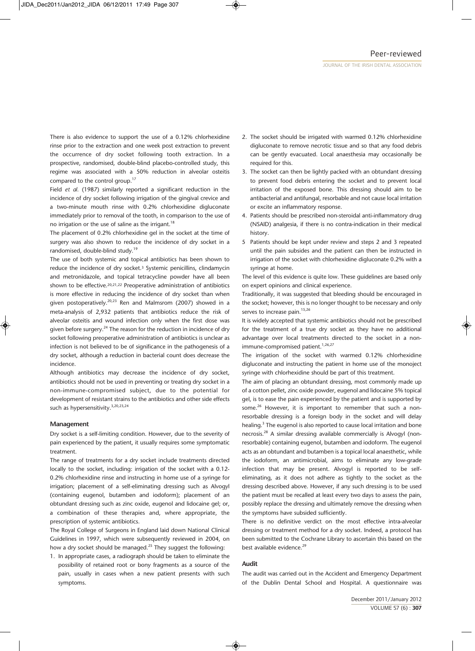There is also evidence to support the use of a 0.12% chlorhexidine rinse prior to the extraction and one week post extraction to prevent the occurrence of dry socket following tooth extraction. In a prospective, randomised, double-blind placebo-controlled study, this regime was associated with a 50% reduction in alveolar osteitis compared to the control group.17

Field *et al.* (1987) similarly reported a significant reduction in the incidence of dry socket following irrigation of the gingival crevice and a two-minute mouth rinse with 0.2% chlorhexidine digluconate immediately prior to removal of the tooth, in comparison to the use of no irrigation or the use of saline as the irrigant.<sup>18</sup>

The placement of 0.2% chlorhexidine gel in the socket at the time of surgery was also shown to reduce the incidence of dry socket in a randomised, double-blind study.19

The use of both systemic and topical antibiotics has been shown to reduce the incidence of dry socket.3 Systemic penicillins, clindamycin and metronidazole, and topical tetracycline powder have all been shown to be effective.20,21,22 Preoperative administration of antibiotics is more effective in reducing the incidence of dry socket than when given postoperatively.<sup>20,23</sup> Ren and Malmsrom (2007) showed in a meta-analysis of 2,932 patients that antibiotics reduce the risk of alveolar osteitis and wound infection only when the first dose was given before surgery.<sup>24</sup> The reason for the reduction in incidence of dry socket following preoperative administration of antibiotics is unclear as infection is not believed to be of significance in the pathogenesis of a dry socket, although a reduction in bacterial count does decrease the incidence.

Although antibiotics may decrease the incidence of dry socket, antibiotics should not be used in preventing or treating dry socket in a non-immune-compromised subject, due to the potential for development of resistant strains to the antibiotics and other side effects such as hypersensitivity.<sup>3,20,23,24</sup>

#### **Management**

Dry socket is a self-limiting condition. However, due to the severity of pain experienced by the patient, it usually requires some symptomatic treatment.

The range of treatments for a dry socket include treatments directed locally to the socket, including: irrigation of the socket with a 0.12- 0.2% chlorhexidine rinse and instructing in home use of a syringe for irrigation; placement of a self-eliminating dressing such as Alvogyl (containing eugenol, butamben and iodoform); placement of an obtundant dressing such as zinc oxide, eugenol and lidocaine gel; or, a combination of these therapies and, where appropriate, the prescription of systemic antibiotics.

The Royal College of Surgeons in England laid down National Clinical Guidelines in 1997, which were subsequently reviewed in 2004, on how a dry socket should be managed.<sup>25</sup> They suggest the following:

1. In appropriate cases, a radiograph should be taken to eliminate the possibility of retained root or bony fragments as a source of the pain, usually in cases when a new patient presents with such symptoms.

- 2. The socket should be irrigated with warmed 0.12% chlorhexidine digluconate to remove necrotic tissue and so that any food debris can be gently evacuated. Local anaesthesia may occasionally be required for this.
- 3. The socket can then be lightly packed with an obtundant dressing to prevent food debris entering the socket and to prevent local irritation of the exposed bone. This dressing should aim to be antibacterial and antifungal, resorbable and not cause local irritation or excite an inflammatory response.
- 4. Patients should be prescribed non-steroidal anti-inflammatory drug (NSAID) analgesia, if there is no contra-indication in their medical history.
- 5 Patients should be kept under review and steps 2 and 3 repeated until the pain subsides and the patient can then be instructed in irrigation of the socket with chlorhexidine digluconate 0.2% with a syringe at home.

The level of this evidence is quite low. These guidelines are based only on expert opinions and clinical experience.

Traditionally, it was suggested that bleeding should be encouraged in the socket; however, this is no longer thought to be necessary and only serves to increase pain.<sup>15,26</sup>

It is widely accepted that systemic antibiotics should not be prescribed for the treatment of a true dry socket as they have no additional advantage over local treatments directed to the socket in a nonimmune-compromised patient. $1,26,27$ 

The irrigation of the socket with warmed 0.12% chlorhexidine digluconate and instructing the patient in home use of the monoject syringe with chlorhexidine should be part of this treatment.

The aim of placing an obtundant dressing, most commonly made up of a cotton pellet, zinc oxide powder, eugenol and lidocaine 5% topical gel, is to ease the pain experienced by the patient and is supported by some.<sup>26</sup> However, it is important to remember that such a nonresorbable dressing is a foreign body in the socket and will delay healing.<sup>3</sup> The eugenol is also reported to cause local irritation and bone necrosis.28 A similar dressing available commercially is Alvogyl (nonresorbable) containing eugenol, butamben and iodoform. The eugenol acts as an obtundant and butamben is a topical local anaesthetic, while the iodoform, an antimicrobial, aims to eliminate any low-grade infection that may be present. Alvogyl is reported to be selfeliminating, as it does not adhere as tightly to the socket as the dressing described above. However, if any such dressing is to be used the patient must be recalled at least every two days to assess the pain, possibly replace the dressing and ultimately remove the dressing when the symptoms have subsided sufficiently.

There is no definitive verdict on the most effective intra-alveolar dressing or treatment method for a dry socket. Indeed, a protocol has been submitted to the Cochrane Library to ascertain this based on the best available evidence.<sup>29</sup>

## **Audit**

The audit was carried out in the Accident and Emergency Department of the Dublin Dental School and Hospital. A questionnaire was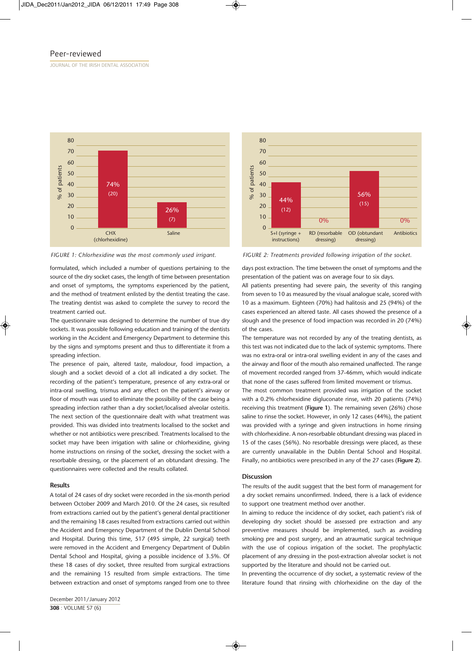JOURNAL OF THE IRISH DENTAL ASSOCIATION



formulated, which included a number of questions pertaining to the source of the dry socket cases, the length of time between presentation and onset of symptoms, the symptoms experienced by the patient, and the method of treatment enlisted by the dentist treating the case. The treating dentist was asked to complete the survey to record the treatment carried out.

The questionnaire was designed to determine the number of true dry sockets. It was possible following education and training of the dentists working in the Accident and Emergency Department to determine this by the signs and symptoms present and thus to differentiate it from a spreading infection.

The presence of pain, altered taste, malodour, food impaction, a slough and a socket devoid of a clot all indicated a dry socket. The recording of the patient's temperature, presence of any extra-oral or intra-oral swelling, trismus and any effect on the patient's airway or floor of mouth was used to eliminate the possibility of the case being a spreading infection rather than a dry socket/localised alveolar osteitis. The next section of the questionnaire dealt with what treatment was provided. This was divided into treatments localised to the socket and whether or not antibiotics were prescribed. Treatments localised to the socket may have been irrigation with saline or chlorhexidine, giving home instructions on rinsing of the socket, dressing the socket with a resorbable dressing, or the placement of an obtundant dressing. The questionnaires were collected and the results collated.

#### **Results**

A total of 24 cases of dry socket were recorded in the six-month period between October 2009 and March 2010. Of the 24 cases, six resulted from extractions carried out by the patient's general dental practitioner and the remaining 18 cases resulted from extractions carried out within the Accident and Emergency Department of the Dublin Dental School and Hospital. During this time, 517 (495 simple, 22 surgical) teeth were removed in the Accident and Emergency Department of Dublin Dental School and Hospital, giving a possible incidence of 3.5%. Of these 18 cases of dry socket, three resulted from surgical extractions and the remaining 15 resulted from simple extractions. The time between extraction and onset of symptoms ranged from one to three



*FIGURE 1: Chlorhexidine was the most commonly used irrigant. FIGURE 2: Treatments provided following irrigation of the socket.*

days post extraction. The time between the onset of symptoms and the presentation of the patient was on average four to six days.

All patients presenting had severe pain, the severity of this ranging from seven to 10 as measured by the visual analogue scale, scored with 10 as a maximum. Eighteen (70%) had halitosis and 25 (94%) of the cases experienced an altered taste. All cases showed the presence of a slough and the presence of food impaction was recorded in 20 (74%) of the cases.

The temperature was not recorded by any of the treating dentists, as this test was not indicated due to the lack of systemic symptoms. There was no extra-oral or intra-oral swelling evident in any of the cases and the airway and floor of the mouth also remained unaffected. The range of movement recorded ranged from 37-46mm, which would indicate that none of the cases suffered from limited movement or trismus.

The most common treatment provided was irrigation of the socket with a 0.2% chlorhexidine digluconate rinse, with 20 patients (74%) receiving this treatment (**Figure 1**). The remaining seven (26%) chose saline to rinse the socket. However, in only 12 cases (44%), the patient was provided with a syringe and given instructions in home rinsing with chlorhexidine. A non-resorbable obtundant dressing was placed in 15 of the cases (56%). No resorbable dressings were placed, as these are currently unavailable in the Dublin Dental School and Hospital. Finally, no antibiotics were prescribed in any of the 27 cases (**Figure 2**).

#### **Discussion**

The results of the audit suggest that the best form of management for a dry socket remains unconfirmed. Indeed, there is a lack of evidence to support one treatment method over another.

In aiming to reduce the incidence of dry socket, each patient's risk of developing dry socket should be assessed pre extraction and any preventive measures should be implemented, such as avoiding smoking pre and post surgery, and an atraumatic surgical technique with the use of copious irrigation of the socket. The prophylactic placement of any dressing in the post-extraction alveolar socket is not supported by the literature and should not be carried out.

In preventing the occurrence of dry socket, a systematic review of the literature found that rinsing with chlorhexidine on the day of the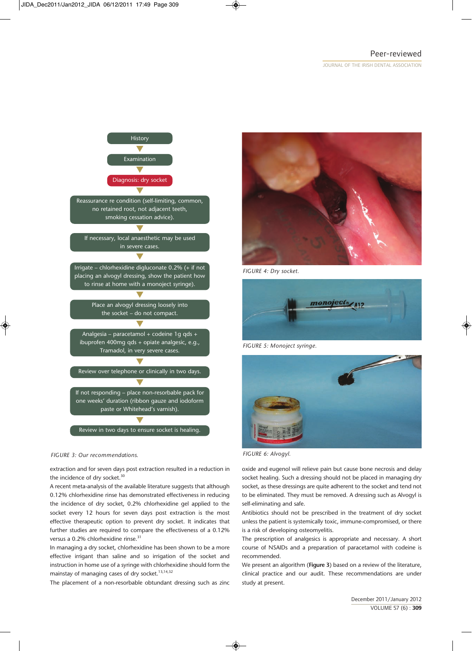## Peer-reviewed

JOURNAL OF THE IRISH DENTAL ASSOCIATION



### *FIGURE 3: Our recommendations.*

extraction and for seven days post extraction resulted in a reduction in the incidence of dry socket.<sup>30</sup>

A recent meta-analysis of the available literature suggests that although 0.12% chlorhexidine rinse has demonstrated effectiveness in reducing the incidence of dry socket, 0.2% chlorhexidine gel applied to the socket every 12 hours for seven days post extraction is the most effective therapeutic option to prevent dry socket. It indicates that further studies are required to compare the effectiveness of a 0.12% versus a 0.2% chlorhexidine rinse.<sup>31</sup>

In managing a dry socket, chlorhexidine has been shown to be a more effective irrigant than saline and so irrigation of the socket and instruction in home use of a syringe with chlorhexidine should form the mainstay of managing cases of dry socket. $13,14,32$ 

The placement of a non-resorbable obtundant dressing such as zinc



*FIGURE 4: Dry socket.*



*FIGURE 5: Monoject syringe.*



*FIGURE 6: Alvogyl.*

oxide and eugenol will relieve pain but cause bone necrosis and delay socket healing. Such a dressing should not be placed in managing dry socket, as these dressings are quite adherent to the socket and tend not to be eliminated. They must be removed. A dressing such as Alvogyl is self-eliminating and safe.

Antibiotics should not be prescribed in the treatment of dry socket unless the patient is systemically toxic, immune-compromised, or there is a risk of developing osteomyelitis.

The prescription of analgesics is appropriate and necessary. A short course of NSAIDs and a preparation of paracetamol with codeine is recommended.

We present an algorithm (**Figure 3**) based on a review of the literature, clinical practice and our audit. These recommendations are under study at present.